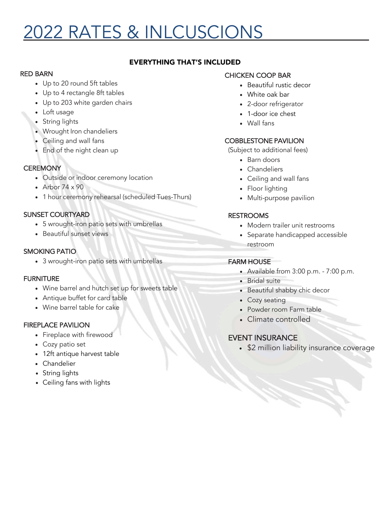# 2022 RATES & INLCUSCIONS

# EVERYTHING THAT'S INCLUDED

#### RED BARN

- Up to 20 round 5ft tables
- Up to 4 rectangle 8ft tables
- Up to 203 white garden chairs
- Loft usage
- String lights
- Wrought Iron chandeliers
- Ceiling and wall fans
- End of the night clean up

### **CEREMONY**

- Outside or indoor ceremony location
- Arbor  $74 \times 90$
- 1 hour ceremony rehearsal (scheduled Tues-Thurs)

# SUNSET COURTYARD

- 5 wrought-iron patio sets with umbrellas
- Beautiful sunset views

## SMOKING PATIO

• 3 wrought-iron patio sets with umbrellas

#### FURNITURE

- Wine barrel and hutch set up for sweets table
- Antique buffet for card table
- Wine barrel table for cake

# FIREPLACE PAVILION

- Fireplace with firewood
- Cozy patio set
- 12ft antique harvest table
- Chandelier
- String lights
- Ceiling fans with lights

## CHICKEN COOP BAR

- Beautiful rustic decor
- White oak bar
- 2-door refrigerator
- 1-door ice chest
- Wall fans

#### COBBLESTONE PAVILION

(Subject to additional fees)

- Barn doors
- Chandeliers
- Ceiling and wall fans
- Floor lighting
- Multi-purpose pavilion

### RESTROOMS

- Modern trailer unit restrooms
- Separate handicapped accessible restroom

# FARM HOUSE

- Available from 3:00 p.m. 7:00 p.m.
- Bridal suite
- Beautiful shabby chic decor
- Cozy seating
- Powder room Farm table
- Climate controlled

# EVENT INSURANCE

• \$2 million liability insurance coverage